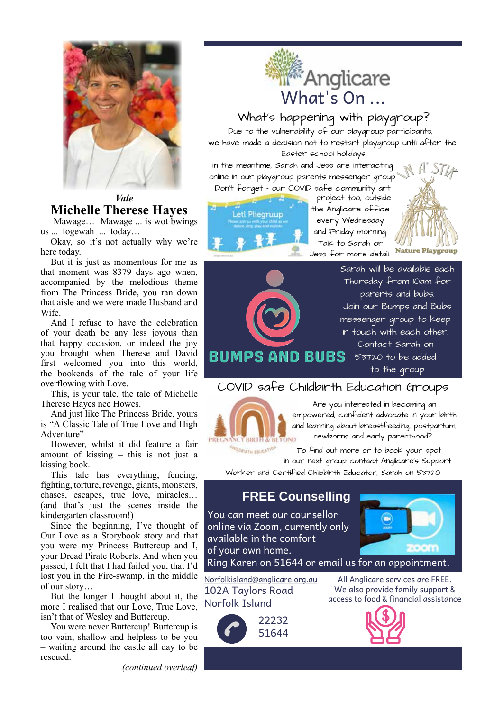

*Vale* **Michelle Therese Hayes**

 Mawage… Mawage ... is wot bwings us ... togewah ... today…

Okay, so it's not actually why we're here today.

But it is just as momentous for me as that moment was 8379 days ago when, accompanied by the melodious theme from The Princess Bride, you ran down that aisle and we were made Husband and Wife.

And I refuse to have the celebration of your death be any less joyous than that happy occasion, or indeed the joy you brought when Therese and David first welcomed you into this world, the bookends of the tale of your life overflowing with Love.

This, is your tale, the tale of Michelle Therese Hayes nee Howes.

And just like The Princess Bride, yours is "A Classic Tale of True Love and High Adventure"

However, whilst it did feature a fair amount of kissing – this is not just a kissing book.

This tale has everything; fencing, fighting, torture, revenge, giants, monsters, chases, escapes, true love, miracles… (and that's just the scenes inside the kindergarten classroom!)

Since the beginning, I've thought of Our Love as a Storybook story and that you were my Princess Buttercup and I, your Dread Pirate Roberts. And when you passed, I felt that I had failed you, that I'd lost you in the Fire-swamp, in the middle of our story…

But the longer I thought about it, the more I realised that our Love, True Love, isn't that of Wesley and Buttercup.

You were never Buttercup! Buttercup is too vain, shallow and helpless to be you – waiting around the castle all day to be rescued.

*(continued overleaf)*



## What's happening with playgroup?

Due to the vulnerability of our playgroup participants, we have made a decision not to restart playgroup until after the Easter school holidays.

In the meantime, Sarah and Jess are interacting online in our playgroup parents messenger group. Don't forget - our COVID safe community art



project too, outside the Anglicare office every Wednesday and Friday morning. Talk to Sarah or Jess for more detail.



Sarah will be available each Thursday from 10am for parents and bubs. Join our Bumps and Bubs messenger group to keep in touch with each other. Contact Sarah on **BUMPS AND BUBS** 53720 to be added to the group

## COVID safe Childbirth Education Groups



Are you interested in becoming an empowered, confident advocate in your birth and learning about breastfeeding, postpartum, newborns and early parenthood?

**CHILD BIRTH EDUCATION** To find out more or to book your spot in our next group contact Anglicare's Support Worker and Certified Childbirth Educator, Sarah on 53720

# **FREE Counselling**

You can meet our counsellor online via Zoom, currently only available in the comfort of your own home.



Ring Karen on 51644 or email us for an appointment.

Norfolkisland@anglicare.org.au 102A Taylors Road Norfolk Island



All Anglicare services are FREE. We also provide family support & access to food & financial assistance

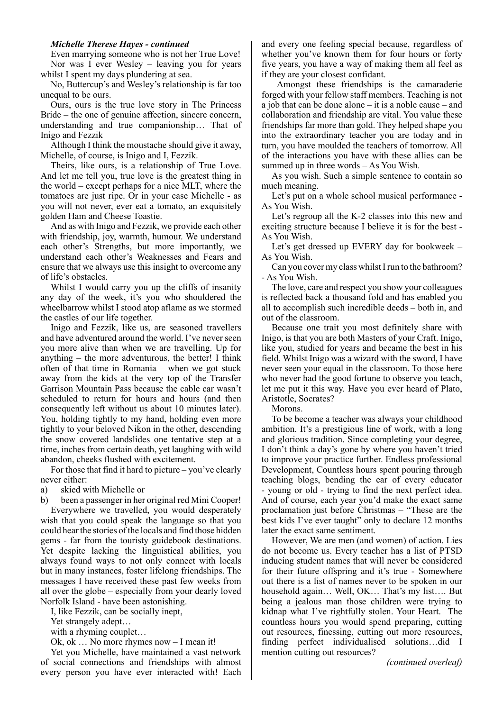#### *Michelle Therese Hayes - continued*

Even marrying someone who is not her True Love! Nor was I ever Wesley – leaving you for years whilst I spent my days plundering at sea.

No, Buttercup's and Wesley's relationship is far too unequal to be ours.

Ours, ours is the true love story in The Princess Bride – the one of genuine affection, sincere concern, understanding and true companionship… That of Inigo and Fezzik

Although I think the moustache should give it away, Michelle, of course, is Inigo and I, Fezzik.

Theirs, like ours, is a relationship of True Love. And let me tell you, true love is the greatest thing in the world – except perhaps for a nice MLT, where the tomatoes are just ripe. Or in your case Michelle - as you will not never, ever eat a tomato, an exquisitely golden Ham and Cheese Toastie.

And as with Inigo and Fezzik, we provide each other with friendship, joy, warmth, humour. We understand each other's Strengths, but more importantly, we understand each other's Weaknesses and Fears and ensure that we always use this insight to overcome any of life's obstacles.

Whilst I would carry you up the cliffs of insanity any day of the week, it's you who shouldered the wheelbarrow whilst I stood atop aflame as we stormed the castles of our life together.

Inigo and Fezzik, like us, are seasoned travellers and have adventured around the world. I've never seen you more alive than when we are travelling. Up for anything  $-$  the more adventurous, the better! I think often of that time in Romania – when we got stuck away from the kids at the very top of the Transfer Garrison Mountain Pass because the cable car wasn't scheduled to return for hours and hours (and then consequently left without us about 10 minutes later). You, holding tightly to my hand, holding even more tightly to your beloved Nikon in the other, descending the snow covered landslides one tentative step at a time, inches from certain death, yet laughing with wild abandon, cheeks flushed with excitement.

For those that find it hard to picture – you've clearly never either:

a) skied with Michelle or

b) been a passenger in her original red Mini Cooper!

Everywhere we travelled, you would desperately wish that you could speak the language so that you could hear the stories of the locals and find those hidden gems - far from the touristy guidebook destinations. Yet despite lacking the linguistical abilities, you always found ways to not only connect with locals but in many instances, foster lifelong friendships. The messages I have received these past few weeks from all over the globe – especially from your dearly loved Norfolk Island - have been astonishing.

I, like Fezzik, can be socially inept,

Yet strangely adept…

with a rhyming couplet...

Ok, ok … No more rhymes now – I mean it!

Yet you Michelle, have maintained a vast network of social connections and friendships with almost every person you have ever interacted with! Each and every one feeling special because, regardless of whether you've known them for four hours or forty five years, you have a way of making them all feel as if they are your closest confidant.

 Amongst these friendships is the camaraderie forged with your fellow staff members. Teaching is not a job that can be done alone – it is a noble cause – and collaboration and friendship are vital. You value these friendships far more than gold. They helped shape you into the extraordinary teacher you are today and in turn, you have moulded the teachers of tomorrow. All of the interactions you have with these allies can be summed up in three words – As You Wish.

As you wish. Such a simple sentence to contain so much meaning.

Let's put on a whole school musical performance - As You Wish.

Let's regroup all the K-2 classes into this new and exciting structure because I believe it is for the best - As You Wish.

Let's get dressed up EVERY day for bookweek – As You Wish.

Can you cover my class whilst I run to the bathroom? - As You Wish.

The love, care and respect you show your colleagues is reflected back a thousand fold and has enabled you all to accomplish such incredible deeds – both in, and out of the classroom.

Because one trait you most definitely share with Inigo, is that you are both Masters of your Craft. Inigo, like you, studied for years and became the best in his field. Whilst Inigo was a wizard with the sword, I have never seen your equal in the classroom. To those here who never had the good fortune to observe you teach, let me put it this way. Have you ever heard of Plato, Aristotle, Socrates?

Morons.

To be become a teacher was always your childhood ambition. It's a prestigious line of work, with a long and glorious tradition. Since completing your degree, I don't think a day's gone by where you haven't tried to improve your practice further. Endless professional Development, Countless hours spent pouring through teaching blogs, bending the ear of every educator - young or old - trying to find the next perfect idea. And of course, each year you'd make the exact same proclamation just before Christmas – "These are the best kids I've ever taught" only to declare 12 months later the exact same sentiment.

However, We are men (and women) of action. Lies do not become us. Every teacher has a list of PTSD inducing student names that will never be considered for their future offspring and it's true - Somewhere out there is a list of names never to be spoken in our household again… Well, OK… That's my list…. But being a jealous man those children were trying to kidnap what I've rightfully stolen. Your Heart. The countless hours you would spend preparing, cutting out resources, finessing, cutting out more resources, finding perfect individualised solutions…did I mention cutting out resources?

*(continued overleaf)*